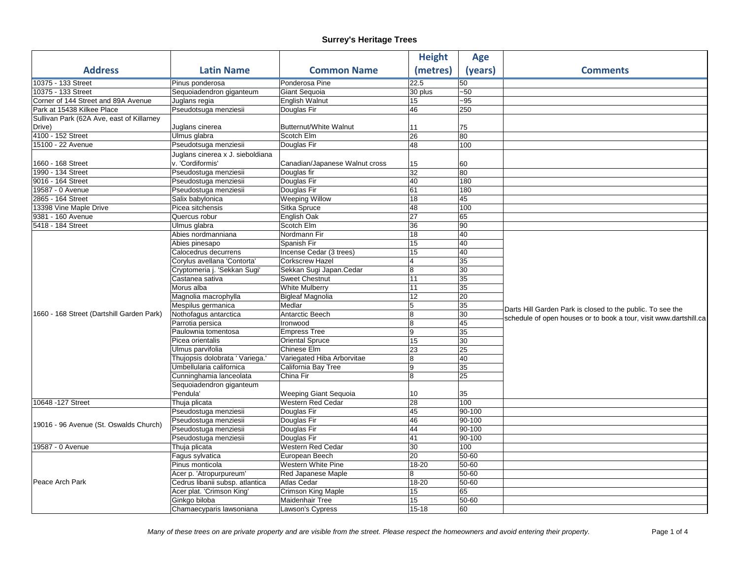|                                           |                                  |                                | <b>Height</b>  | <b>Age</b>      |                                                                                                                                 |
|-------------------------------------------|----------------------------------|--------------------------------|----------------|-----------------|---------------------------------------------------------------------------------------------------------------------------------|
| <b>Address</b>                            | <b>Latin Name</b>                | <b>Common Name</b>             | (metres)       | (years)         | <b>Comments</b>                                                                                                                 |
| 10375 - 133 Street                        | Pinus ponderosa                  | Ponderosa Pine                 | 22.5           | 50              |                                                                                                                                 |
| 10375 - 133 Street                        | Sequoiadendron giganteum         | Giant Sequoia                  | 30 plus        | $-50$           |                                                                                                                                 |
| Corner of 144 Street and 89A Avenue       | Juglans regia                    | English Walnut                 | 15             | $-95$           |                                                                                                                                 |
| Park at 15438 Kilkee Place                | Pseudotsuga menziesii            | Douglas Fir                    | 46             | 250             |                                                                                                                                 |
| Sullivan Park (62A Ave, east of Killarney |                                  |                                |                |                 |                                                                                                                                 |
| Drive)                                    | Juglans cinerea                  | <b>Butternut/White Walnut</b>  | 11             | 75              |                                                                                                                                 |
| 4100 - 152 Street                         | Ulmus glabra                     | Scotch Elm                     | 26             | 80              |                                                                                                                                 |
| 15100 - 22 Avenue                         | Pseudotsuga menziesii            | Douglas Fir                    | 48             | 100             |                                                                                                                                 |
|                                           | Juglans cinerea x J. sieboldiana |                                |                |                 |                                                                                                                                 |
| 1660 - 168 Street                         | v. 'Cordiformis'                 | Canadian/Japanese Walnut cross | 15             | 60              |                                                                                                                                 |
| 1990 - 134 Street                         | Pseudostuga menziesii            | Douglas fir                    | 32             | 80              |                                                                                                                                 |
| 9016 - 164 Street                         | Pseudostuga menziesii            | Douglas Fir                    | 40             | 180             |                                                                                                                                 |
| 19587 - 0 Avenue                          | Pseudostuga menziesii            | Douglas Fir                    | 61             | 180             |                                                                                                                                 |
| 2865 - 164 Street                         | Salix babylonica                 | <b>Weeping Willow</b>          | 18             | 45              |                                                                                                                                 |
| 13398 Vine Maple Drive                    | Picea sitchensis                 | Sitka Spruce                   | 48             | 100             |                                                                                                                                 |
| 9381 - 160 Avenue                         | Quercus robur                    | English Oak                    | 27             | 65              |                                                                                                                                 |
| 5418 - 184 Street                         | Ulmus glabra                     | Scotch Elm                     | 36             | $\overline{90}$ |                                                                                                                                 |
|                                           | Abies nordmanniana               | Nordmann Fir                   | 18             | 40              |                                                                                                                                 |
|                                           | Abies pinesapo                   | Spanish Fir                    | 15             | 40              |                                                                                                                                 |
|                                           | Calocedrus decurrens             | Incense Cedar (3 trees)        | 15             | 40              |                                                                                                                                 |
|                                           | Corylus avellana 'Contorta'      | <b>Corkscrew Hazel</b>         | $\overline{4}$ | 35              |                                                                                                                                 |
|                                           | Cryptomeria j. 'Sekkan Sugi'     | Sekkan Sugi Japan.Cedar        | 8              | 30              |                                                                                                                                 |
|                                           | Castanea sativa                  | <b>Sweet Chestnut</b>          | 11             | 35              |                                                                                                                                 |
|                                           | Morus alba                       | White Mulberry                 | 11             | 35              |                                                                                                                                 |
|                                           | Magnolia macrophylla             | <b>Bigleaf Magnolia</b>        | 12             | 20              | Darts Hill Garden Park is closed to the public. To see the<br>schedule of open houses or to book a tour, visit www.dartshill.ca |
|                                           | Mespilus germanica               | Medlar                         | 5              | 35              |                                                                                                                                 |
| 1660 - 168 Street (Dartshill Garden Park) | Nothofagus antarctica            | Antarctic Beech                | 8              | 30              |                                                                                                                                 |
|                                           | Parrotia persica                 | Ironwood                       | 8              | 45              |                                                                                                                                 |
|                                           | Paulownia tomentosa              | <b>Empress Tree</b>            | 9              | 35              |                                                                                                                                 |
|                                           | Picea orientalis                 | <b>Oriental Spruce</b>         | 15             | $\overline{30}$ |                                                                                                                                 |
|                                           | Ulmus parvifolia                 | Chinese Elm                    | 23             | 25              |                                                                                                                                 |
|                                           | Thujopsis dolobrata ' Variega.   | Variegated Hiba Arborvitae     | 8              | 40              |                                                                                                                                 |
|                                           | Umbellularia californica         | California Bay Tree            | 9              | 35              |                                                                                                                                 |
|                                           | Cunninghamia lanceolata          | China Fir                      | 8              | 25              |                                                                                                                                 |
|                                           | Sequoiadendron giganteum         |                                |                |                 |                                                                                                                                 |
|                                           | 'Pendula'                        | Weeping Giant Sequoia          | 10             | 35              |                                                                                                                                 |
| 10648 - 127 Street                        | Thuja plicata                    | Western Red Cedar              | 28             | 100             |                                                                                                                                 |
| 19016 - 96 Avenue (St. Oswalds Church)    | Pseudostuga menziesii            | Douglas Fir                    | 45             | 90-100          |                                                                                                                                 |
|                                           | Pseudostuga menziesii            | Douglas Fir                    | 46             | 90-100          |                                                                                                                                 |
|                                           | Pseudostuga menziesii            | Douglas Fir                    | 44             | 90-100          |                                                                                                                                 |
|                                           | Pseudostuga menziesii            | Douglas Fir                    | 41             | 90-100          |                                                                                                                                 |
| 19587 - 0 Avenue                          | Thuja plicata                    | Western Red Cedar              | 30             | 100             |                                                                                                                                 |
| Peace Arch Park                           | Fagus sylvatica                  | European Beech                 | 20             | 50-60           |                                                                                                                                 |
|                                           | Pinus monticola                  | Western White Pine             | 18-20          | 50-60           |                                                                                                                                 |
|                                           | Acer p. 'Atropurpureum'          | Red Japanese Maple             | 8              | 50-60           |                                                                                                                                 |
|                                           | Cedrus libanii subsp. atlantica  | Atlas Cedar                    | 18-20          | 50-60           |                                                                                                                                 |
|                                           | Acer plat. 'Crimson King'        | Crimson King Maple             | 15             | 65              |                                                                                                                                 |
|                                           | Ginkgo biloba                    | Maidenhair Tree                | 15             | 50-60           |                                                                                                                                 |
|                                           | Chamaecyparis lawsoniana         | Lawson's Cypress               | $15 - 18$      | 60              |                                                                                                                                 |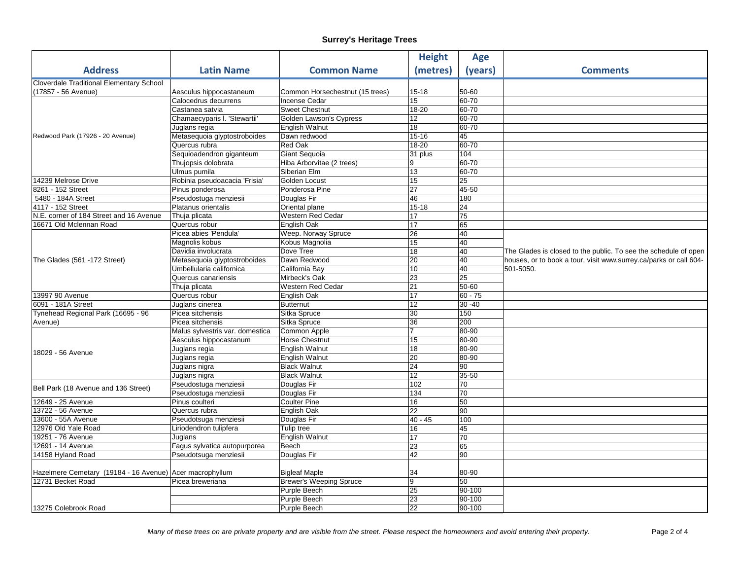|                                                          |                                                |                                              | <b>Height</b>   | <b>Age</b>  |                                                                   |
|----------------------------------------------------------|------------------------------------------------|----------------------------------------------|-----------------|-------------|-------------------------------------------------------------------|
| <b>Address</b>                                           | <b>Latin Name</b>                              | <b>Common Name</b>                           | (metres)        | (years)     | <b>Comments</b>                                                   |
| <b>Cloverdale Traditional Elementary School</b>          |                                                |                                              |                 |             |                                                                   |
| (17857 - 56 Avenue)                                      | Aesculus hippocastaneum                        | Common Horsechestnut (15 trees)              | 15-18           | 50-60       |                                                                   |
|                                                          | Calocedrus decurrens                           | <b>Incense Cedar</b>                         | 15              | $60 - 70$   |                                                                   |
|                                                          | Castanea satvia                                | <b>Sweet Chestnut</b>                        | 18-20           | 60-70       |                                                                   |
|                                                          | Chamaecyparis I. 'Stewartii'                   | Golden Lawson's Cypress                      | 12              | 60-70       |                                                                   |
|                                                          | Juglans regia                                  | English Walnut                               | 18              | 60-70       |                                                                   |
| Redwood Park (17926 - 20 Avenue)                         | Metasequoia glyptostroboides                   | Dawn redwood                                 | $15 - 16$       | 45          |                                                                   |
|                                                          | Quercus rubra                                  | <b>Red Oak</b>                               | 18-20           | 60-70       |                                                                   |
|                                                          | Sequioadendron giganteum                       | Giant Sequoia                                | 31 plus         | 104         |                                                                   |
|                                                          | Thujopsis dolobrata                            | Hiba Arborvitae (2 trees)                    | 9               | 60-70       |                                                                   |
|                                                          | Ulmus pumila                                   | Siberian Elm                                 | 13              | 60-70       |                                                                   |
| 14239 Melrose Drive                                      | Robinia pseudoacacia 'Frisia'                  | Golden Locust                                | 15              | 25          |                                                                   |
| 8261 - 152 Street                                        | Pinus ponderosa                                | Ponderosa Pine                               | $\overline{27}$ | 45-50       |                                                                   |
| 5480 - 184A Street                                       | Pseudostuga menziesii                          | Douglas Fir                                  | 46              | 180         |                                                                   |
| 4117 - 152 Street                                        | Platanus orientalis                            | Oriental plane                               | $15 - 18$       | 24          |                                                                   |
| N.E. corner of 184 Street and 16 Avenue                  | Thuja plicata                                  | Western Red Cedar                            | 17              | 75          |                                                                   |
| 16671 Old Mclennan Road                                  | Quercus robur                                  | English Oak                                  | 17              | 65          |                                                                   |
|                                                          | Picea abies 'Pendula'                          | Weep. Norway Spruce                          | 26              | 40          |                                                                   |
|                                                          | Magnolis kobus                                 | Kobus Magnolia                               | 15              | 40          |                                                                   |
|                                                          | Davidia involucrata                            | Dove Tree                                    | 18              | 40          | The Glades is closed to the public. To see the schedule of open   |
| The Glades (561 -172 Street)                             | Metasequoia glyptostroboides                   | Dawn Redwood                                 | $\overline{20}$ | 40          | houses, or to book a tour, visit www.surrey.ca/parks or call 604- |
|                                                          | Umbellularia californica                       | California Bay                               | 10              | 40          | 501-5050.                                                         |
|                                                          | Quercus canariensis                            | Mirbeck's Oak                                | 23              | 25          |                                                                   |
|                                                          | Thuja plicata                                  | <b>Western Red Cedar</b>                     | $\overline{21}$ | 50-60       |                                                                   |
| 13997 90 Avenue                                          | Quercus robur                                  | English Oak                                  | 17              | $60 - 75$   |                                                                   |
| 6091 - 181A Street                                       | Juglans cinerea                                | <b>Butternut</b>                             | 12              | $30 - 40$   |                                                                   |
| Tynehead Regional Park (16695 - 96                       | Picea sitchensis                               | Sitka Spruce                                 | 30              | 150         |                                                                   |
| Avenue)                                                  | Picea sitchensis                               | Sitka Spruce                                 | 36              | 200         |                                                                   |
|                                                          | Malus sylvestris var. domestica                | Common Apple                                 | $\overline{7}$  | 80-90       |                                                                   |
|                                                          | Aesculus hippocastanum                         | <b>Horse Chestnut</b>                        | 15              | 80-90       |                                                                   |
| 18029 - 56 Avenue                                        | Juglans regia                                  | <b>English Walnut</b>                        | 18              | 80-90       |                                                                   |
|                                                          | Juglans regia                                  | <b>English Walnut</b><br><b>Black Walnut</b> | 20              | 80-90       |                                                                   |
|                                                          | Juglans nigra                                  |                                              | 24              | 90          |                                                                   |
|                                                          | Juglans nigra                                  | <b>Black Walnut</b>                          | 12              | 35-50<br>70 |                                                                   |
| Bell Park (18 Avenue and 136 Street)                     | Pseudostuga menziesii<br>Pseudostuga menziesii | Douglas Fir                                  | 102<br>134      | 70          |                                                                   |
| 12649 - 25 Avenue                                        | Pinus coulteri                                 | Douglas Fir<br><b>Coulter Pine</b>           | 16              | 50          |                                                                   |
| 13722 - 56 Avenue                                        | Quercus rubra                                  | English Oak                                  | 22              | 90          |                                                                   |
| 13600 - 55A Avenue                                       | Pseudotsuga menziesii                          | Douglas Fir                                  | $40 - 45$       | 100         |                                                                   |
| 12976 Old Yale Road                                      | Liriodendron tulipfera                         | Tulip tree                                   | 16              | 45          |                                                                   |
| 19251 - 76 Avenue                                        | Juglans                                        | English Walnut                               | 17              | 70          |                                                                   |
| 12691 - 14 Avenue                                        | Fagus sylvatica autopurporea                   | Beech                                        | 23              | 65          |                                                                   |
| 14158 Hyland Road                                        | Pseudotsuga menziesii                          | Douglas Fir                                  | 42              | 90          |                                                                   |
|                                                          |                                                |                                              |                 |             |                                                                   |
| Hazelmere Cemetary (19184 - 16 Avenue) Acer macrophyllum |                                                | <b>Bigleaf Maple</b>                         | 34              | 80-90       |                                                                   |
| 12731 Becket Road                                        | Picea breweriana                               | <b>Brewer's Weeping Spruce</b>               | 9               | 50          |                                                                   |
|                                                          |                                                | Purple Beech                                 | 25              | 90-100      |                                                                   |
|                                                          |                                                | Purple Beech                                 | 23              | 90-100      |                                                                   |
| 13275 Colebrook Road                                     |                                                | Purple Beech                                 | 22              | 90-100      |                                                                   |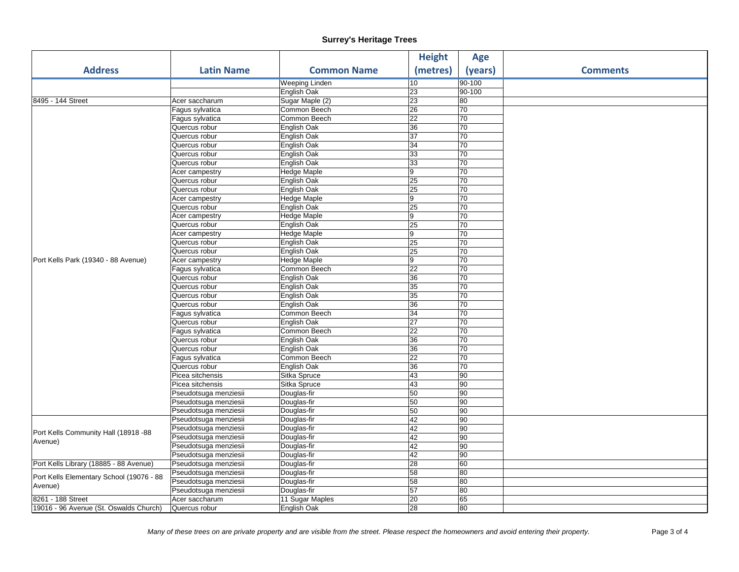|                                                     |                       |                    | <b>Height</b>   | <b>Age</b>      |                 |
|-----------------------------------------------------|-----------------------|--------------------|-----------------|-----------------|-----------------|
| <b>Address</b>                                      | <b>Latin Name</b>     | <b>Common Name</b> | (metres)        | (years)         | <b>Comments</b> |
|                                                     |                       | Weeping Linden     | 10              | 90-100          |                 |
|                                                     |                       | English Oak        | 23              | 90-100          |                 |
| 8495 - 144 Street                                   | Acer saccharum        | Sugar Maple (2)    | 23              | 80              |                 |
|                                                     | Fagus sylvatica       | Common Beech       | 26              | 70              |                 |
|                                                     | Fagus sylvatica       | Common Beech       | 22              | 70              |                 |
|                                                     | Quercus robur         | English Oak        | 36              | 70              |                 |
|                                                     | Quercus robur         | English Oak        | 37              | 70              |                 |
|                                                     | Quercus robur         | English Oak        | 34              | 70              |                 |
|                                                     | Quercus robur         | English Oak        | 33              | 70              |                 |
|                                                     | Quercus robur         | English Oak        | 33              | 70              |                 |
|                                                     | Acer campestry        | Hedge Maple        | $\overline{9}$  | 70              |                 |
|                                                     | Quercus robur         | English Oak        | 25              | 70              |                 |
|                                                     | Quercus robur         | English Oak        | 25              | 70              |                 |
|                                                     | Acer campestry        | Hedge Maple        | 9               | 70              |                 |
|                                                     | Quercus robur         | English Oak        | 25              | 70              |                 |
|                                                     | Acer campestry        | <b>Hedge Maple</b> | 9               | 70              |                 |
|                                                     | Quercus robur         | English Oak        | 25              | 70              |                 |
|                                                     | Acer campestry        | Hedge Maple        | $\overline{9}$  | 70              |                 |
|                                                     | Quercus robur         | English Oak        | 25              | 70              |                 |
|                                                     | Quercus robur         | English Oak        | 25              | 70              |                 |
| Port Kells Park (19340 - 88 Avenue)                 | Acer campestry        | Hedge Maple        | $\overline{9}$  | 70              |                 |
|                                                     | Fagus sylvatica       | Common Beech       | 22              | 70              |                 |
|                                                     | Quercus robur         | English Oak        | 36              | 70              |                 |
|                                                     | Quercus robur         | English Oak        | 35              | 70              |                 |
|                                                     | Quercus robur         | English Oak        | 35              | 70              |                 |
|                                                     | Quercus robur         | English Oak        | 36              | 70              |                 |
|                                                     | Fagus sylvatica       | Common Beech       | $\overline{34}$ | 70              |                 |
|                                                     | Quercus robur         | English Oak        | $\overline{27}$ | 70              |                 |
|                                                     | Fagus sylvatica       | Common Beech       | 22              | 70              |                 |
|                                                     | Quercus robur         | English Oak        | 36              | 70              |                 |
|                                                     | Quercus robur         | English Oak        | 36              | 70              |                 |
|                                                     | Fagus sylvatica       | Common Beech       | 22              | 70              |                 |
|                                                     | Quercus robur         | English Oak        | 36              | 70              |                 |
|                                                     | Picea sitchensis      | Sitka Spruce       | 43              | 90              |                 |
|                                                     | Picea sitchensis      | Sitka Spruce       | 43              | $\overline{90}$ |                 |
|                                                     | Pseudotsuga menziesii | Douglas-fir        | 50              | $\overline{90}$ |                 |
|                                                     | Pseudotsuga menziesii | Douglas-fir        | 50              | 90              |                 |
|                                                     | Pseudotsuga menziesii | Douglas-fir        | 50              | $\overline{90}$ |                 |
|                                                     | Pseudotsuga menziesii | Douglas-fir        | 42              | 90              |                 |
|                                                     | Pseudotsuga menziesii | Douglas-fir        | 42              | 90              |                 |
| Port Kells Community Hall (18918 -88<br>Avenue)     | Pseudotsuga menziesii | Douglas-fir        | 42              | $\overline{90}$ |                 |
|                                                     | Pseudotsuga menziesii | Douglas-fir        | 42              | $\overline{90}$ |                 |
|                                                     | Pseudotsuga menziesii | Douglas-fir        | 42              | $\overline{90}$ |                 |
| Port Kells Library (18885 - 88 Avenue)              | Pseudotsuga menziesii | Douglas-fir        | 28              | 60              |                 |
| Port Kells Elementary School (19076 - 88<br>Avenue) | Pseudotsuga menziesii | Douglas-fir        | 58              | $\overline{80}$ |                 |
|                                                     | Pseudotsuga menziesii | Douglas-fir        | 58              | 80              |                 |
|                                                     | Pseudotsuga menziesii | Douglas-fir        | 57              | 80              |                 |
| 8261 - 188 Street                                   | Acer saccharum        | 11 Sugar Maples    | 20              | 65              |                 |
| 19016 - 96 Avenue (St. Oswalds Church)              | Quercus robur         | English Oak        | 28              | 80              |                 |